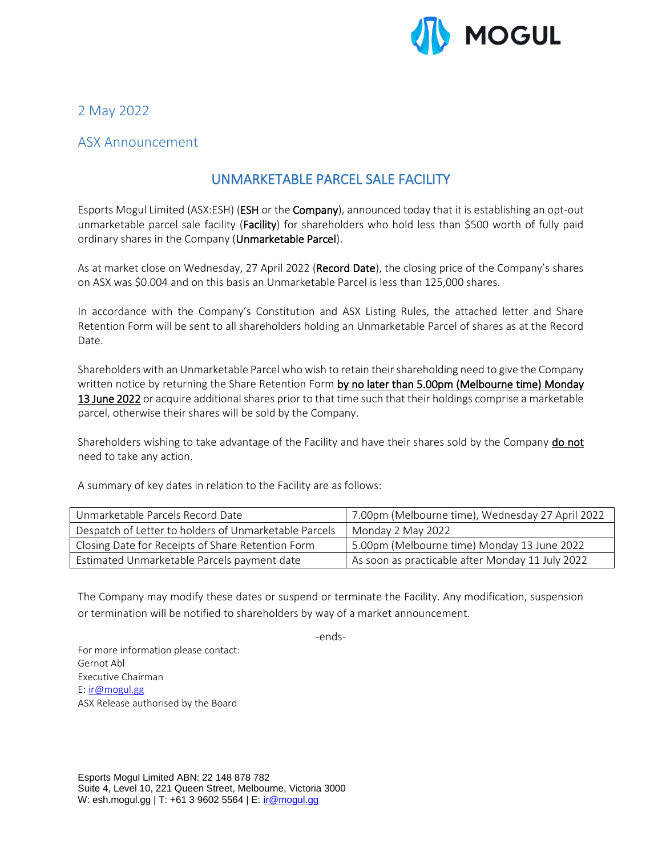

2 May 2022

## ASX Announcement

# UNMARKETABLE PARCEL SALE FACILITY

Esports Mogul Limited (ASX:ESH) (ESH or the Company), announced today that it is establishing an opt-out unmarketable parcel sale facility (Facility) for shareholders who hold less than \$500 worth of fully paid ordinary shares in the Company (Unmarketable Parcel).

As at market close on Wednesday, 27 April 2022 (Record Date), the closing price of the Company's shares on ASX was \$0.004 and on this basis an Unmarketable Parcel is less than 125,000 shares.

In accordance with the Company's Constitution and ASX Listing Rules, the attached letter and Share Retention Form will be sent to all shareholders holding an Unmarketable Parcel of shares as at the Record Date.

Shareholders with an Unmarketable Parcel who wish to retain their shareholding need to give the Company written notice by returning the Share Retention Form by no later than 5.00pm (Melbourne time) Monday 13 June 2022 or acquire additional shares prior to that time such that their holdings comprise a marketable parcel, otherwise their shares will be sold by the Company.

Shareholders wishing to take advantage of the Facility and have their shares sold by the Company **do not** need to take any action.

A summary of key dates in relation to the Facility are as follows:

| Unmarketable Parcels Record Date                      | 7.00pm (Melbourne time), Wednesday 27 April 2022 |
|-------------------------------------------------------|--------------------------------------------------|
| Despatch of Letter to holders of Unmarketable Parcels | Monday 2 May 2022                                |
| Closing Date for Receipts of Share Retention Form     | 5.00pm (Melbourne time) Monday 13 June 2022      |
| Estimated Unmarketable Parcels payment date           | As soon as practicable after Monday 11 July 2022 |

The Company may modify these dates or suspend or terminate the Facility. Any modification, suspension or termination will be notified to shareholders by way of a market announcement.

-ends-

For more information please contact: Gernot Abl Executive Chairman E: [ir@mogul.gg](mailto:ir@mogul.gg) ASX Release authorised by the Board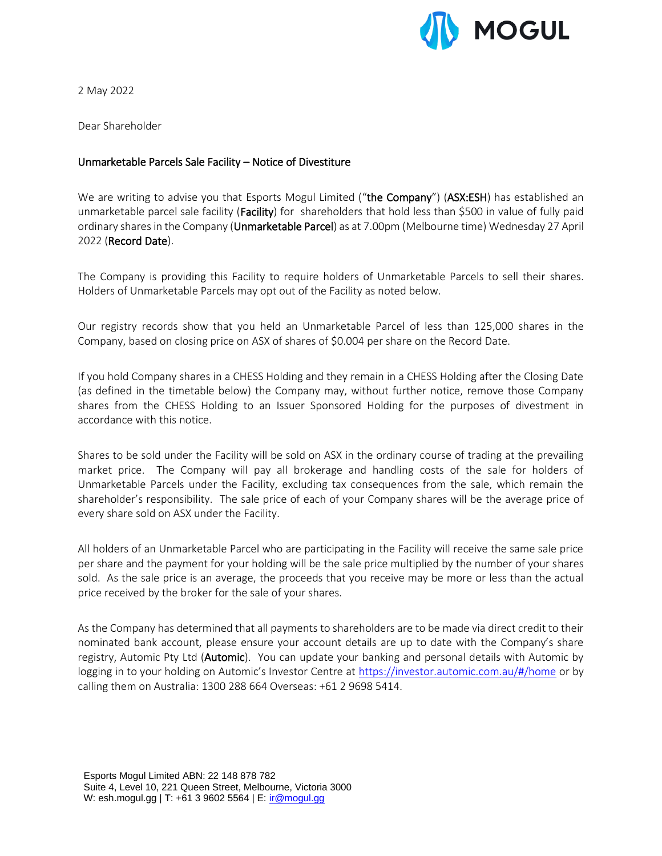

2 May 2022

Dear Shareholder

### Unmarketable Parcels Sale Facility – Notice of Divestiture

We are writing to advise you that Esports Mogul Limited ("the Company") (ASX:ESH) has established an unmarketable parcel sale facility (Facility) for shareholders that hold less than \$500 in value of fully paid ordinary shares in the Company (Unmarketable Parcel) as at 7.00pm (Melbourne time) Wednesday 27 April 2022 (Record Date).

The Company is providing this Facility to require holders of Unmarketable Parcels to sell their shares. Holders of Unmarketable Parcels may opt out of the Facility as noted below.

Our registry records show that you held an Unmarketable Parcel of less than 125,000 shares in the Company, based on closing price on ASX of shares of \$0.004 per share on the Record Date.

If you hold Company shares in a CHESS Holding and they remain in a CHESS Holding after the Closing Date (as defined in the timetable below) the Company may, without further notice, remove those Company shares from the CHESS Holding to an Issuer Sponsored Holding for the purposes of divestment in accordance with this notice.

Shares to be sold under the Facility will be sold on ASX in the ordinary course of trading at the prevailing market price. The Company will pay all brokerage and handling costs of the sale for holders of Unmarketable Parcels under the Facility, excluding tax consequences from the sale, which remain the shareholder's responsibility. The sale price of each of your Company shares will be the average price of every share sold on ASX under the Facility.

All holders of an Unmarketable Parcel who are participating in the Facility will receive the same sale price per share and the payment for your holding will be the sale price multiplied by the number of your shares sold. As the sale price is an average, the proceeds that you receive may be more or less than the actual price received by the broker for the sale of your shares.

As the Company has determined that all payments to shareholders are to be made via direct credit to their nominated bank account, please ensure your account details are up to date with the Company's share registry, Automic Pty Ltd (Automic). You can update your banking and personal details with Automic by logging in to your holding on Automic's Investor Centre at <https://investor.automic.com.au/#/home> or by calling them on Australia: 1300 288 664 Overseas: +61 2 9698 5414.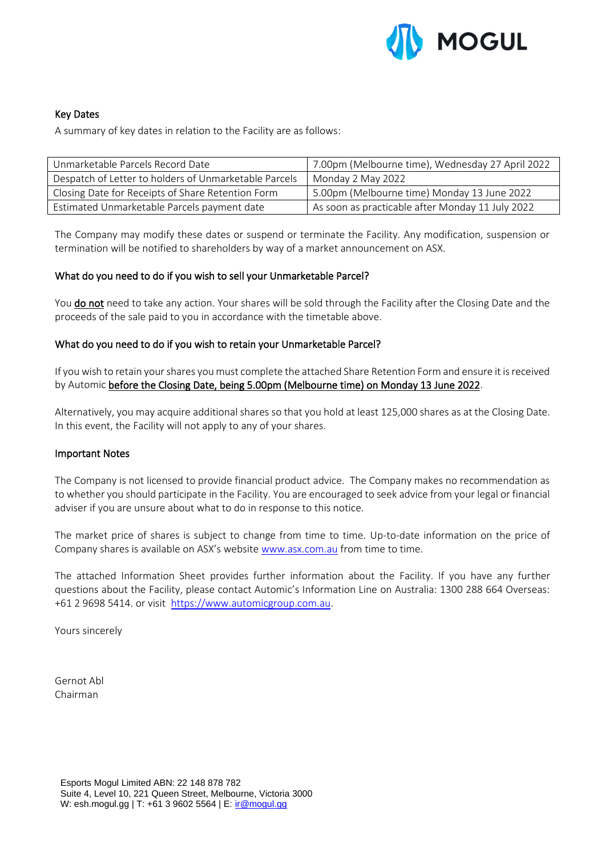

### Key Dates

A summary of key dates in relation to the Facility are as follows:

| Unmarketable Parcels Record Date                      | 7.00pm (Melbourne time), Wednesday 27 April 2022 |
|-------------------------------------------------------|--------------------------------------------------|
| Despatch of Letter to holders of Unmarketable Parcels | Monday 2 May 2022                                |
| Closing Date for Receipts of Share Retention Form     | 5.00pm (Melbourne time) Monday 13 June 2022      |
| Estimated Unmarketable Parcels payment date           | As soon as practicable after Monday 11 July 2022 |

The Company may modify these dates or suspend or terminate the Facility. Any modification, suspension or termination will be notified to shareholders by way of a market announcement on ASX.

### What do you need to do if you wish to sell your Unmarketable Parcel?

You do not need to take any action. Your shares will be sold through the Facility after the Closing Date and the proceeds of the sale paid to you in accordance with the timetable above.

### What do you need to do if you wish to retain your Unmarketable Parcel?

If you wish to retain your shares you must complete the attached Share Retention Form and ensure it is received by Automic before the Closing Date, being 5.00pm (Melbourne time) on Monday 13 June 2022.

Alternatively, you may acquire additional shares so that you hold at least 125,000 shares as at the Closing Date. In this event, the Facility will not apply to any of your shares.

#### Important Notes

The Company is not licensed to provide financial product advice. The Company makes no recommendation as to whether you should participate in the Facility. You are encouraged to seek advice from your legal or financial adviser if you are unsure about what to do in response to this notice.

The market price of shares is subject to change from time to time. Up-to-date information on the price of Company shares is available on ASX's website [www.asx.com.au](http://www.asx.com.au/) from time to time.

The attached Information Sheet provides further information about the Facility. If you have any further questions about the Facility, please contact Automic's Information Line on Australia: 1300 288 664 Overseas: +61 2 9698 5414. or visit [https://www.automicgroup.com.au.](https://www.automicgroup.com.au/)

Yours sincerely

Gernot Abl Chairman